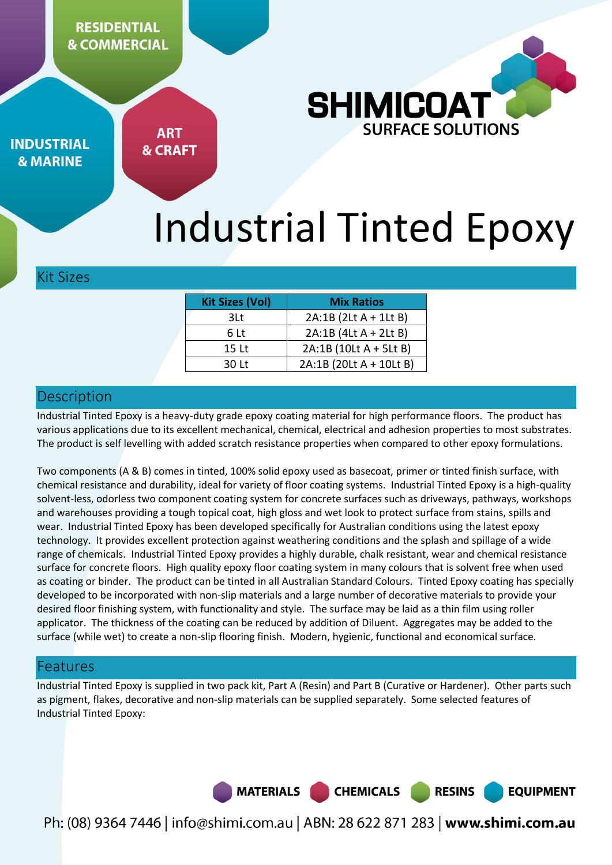**RESIDENTIAL & COMMERCIAL** 



**INDUSTRIAL & MARINE** 

**ART & CRAFT** 

# Industrial Tinted Epoxy

#### Kit Sizes

| <b>Kit Sizes (Vol)</b> | <b>Mix Ratios</b>       |
|------------------------|-------------------------|
| 3Lt.                   | 2A:1B (2Lt A + 1Lt B)   |
| 6 Lt                   | $2A:1B$ (4Lt A + 2Lt B) |
| 15 Lt                  | 2A:1B (10Lt A + 5Lt B)  |
| 30 Lt                  | 2A:1B (20Lt A + 10Lt B) |

## **Description**

Industrial Tinted Epoxy is a heavy-duty grade epoxy coating material for high performance floors. The product has various applications due to its excellent mechanical, chemical, electrical and adhesion properties to most substrates. The product is self levelling with added scratch resistance properties when compared to other epoxy formulations.

Two components (A & B) comes in tinted, 100% solid epoxy used as basecoat, primer or tinted finish surface, with chemical resistance and durability, ideal for variety of floor coating systems. Industrial Tinted Epoxy is a high-quality solvent-less, odorless two component coating system for concrete surfaces such as driveways, pathways, workshops and warehouses providing a tough topical coat, high gloss and wet look to protect surface from stains, spills and wear. Industrial Tinted Epoxy has been developed specifically for Australian conditions using the latest epoxy technology. It provides excellent protection against weathering conditions and the splash and spillage of a wide range of chemicals. Industrial Tinted Epoxy provides a highly durable, chalk resistant, wear and chemical resistance surface for concrete floors. High quality epoxy floor coating system in many colours that is solvent free when used as coating or binder. The product can be tinted in all Australian Standard Colours. Tinted Epoxy coating has specially developed to be incorporated with non-slip materials and a large number of decorative materials to provide your desired floor finishing system, with functionality and style. The surface may be laid as a thin film using roller applicator. The thickness of the coating can be reduced by addition of Diluent. Aggregates may be added to the surface (while wet) to create a non-slip flooring finish. Modern, hygienic, functional and economical surface.

### Features

Industrial Tinted Epoxy is supplied in two pack kit, Part A (Resin) and Part B (Curative or Hardener). Other parts such as pigment, flakes, decorative and non-slip materials can be supplied separately. Some selected features of Industrial Tinted Epoxy:



Ph: (08) 9364 7446 | info@shimi.com.au | ABN: 28 622 871 283 | www.shimi.com.au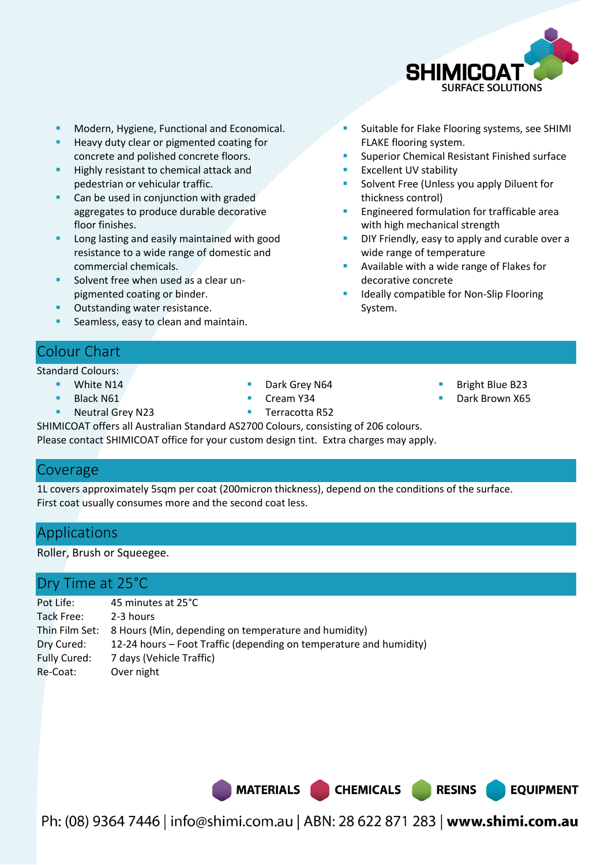

Suitable for Flake Flooring systems, see SHIMI

Superior Chemical Resistant Finished surface

Solvent Free (Unless you apply Diluent for

Engineered formulation for trafficable area

DIY Friendly, easy to apply and curable over a

Available with a wide range of Flakes for

Ideally compatible for Non-Slip Flooring

FLAKE flooring system.

Excellent UV stability

with high mechanical strength

wide range of temperature

decorative concrete

System.

thickness control)

- **Modern, Hygiene, Functional and Economical.**
- Heavy duty clear or pigmented coating for concrete and polished concrete floors.
- Highly resistant to chemical attack and pedestrian or vehicular traffic.
- Can be used in conjunction with graded aggregates to produce durable decorative floor finishes.
- Long lasting and easily maintained with good resistance to a wide range of domestic and commercial chemicals.
- Solvent free when used as a clear unpigmented coating or binder.
- Outstanding water resistance.
- Seamless, easy to clean and maintain.

# Colour Chart

#### Standard Colours:

- White N14
- Black N61
- **Neutral Grey N23**
- Dark Grey N64
- 
- Terracotta R52
- Bright Blue B23
- Dark Brown X65

**EQUIPMENT** 

SHIMICOAT offers all Australian Standard AS2700 Colours, consisting of 206 colours. Please contact SHIMICOAT office for your custom design tint. Extra charges may apply.

#### Coverage

1L covers approximately 5sqm per coat (200micron thickness), depend on the conditions of the surface. First coat usually consumes more and the second coat less.

# Applications

Roller, Brush or Squeegee.

## Dry Time at 25°C

| Pot Life:           | 45 minutes at 25°C                                                  |
|---------------------|---------------------------------------------------------------------|
| Tack Free:          | 2-3 hours                                                           |
|                     | Thin Film Set: 8 Hours (Min, depending on temperature and humidity) |
| Dry Cured:          | 12-24 hours – Foot Traffic (depending on temperature and humidity)  |
| <b>Fully Cured:</b> | 7 days (Vehicle Traffic)                                            |
| Re-Coat:            | Over night                                                          |

MATERIALS CHEMICALS RESINS

Ph: (08) 9364 7446 | info@shimi.com.au | ABN: 28 622 871 283 | www.shimi.com.au

- Cream Y34
-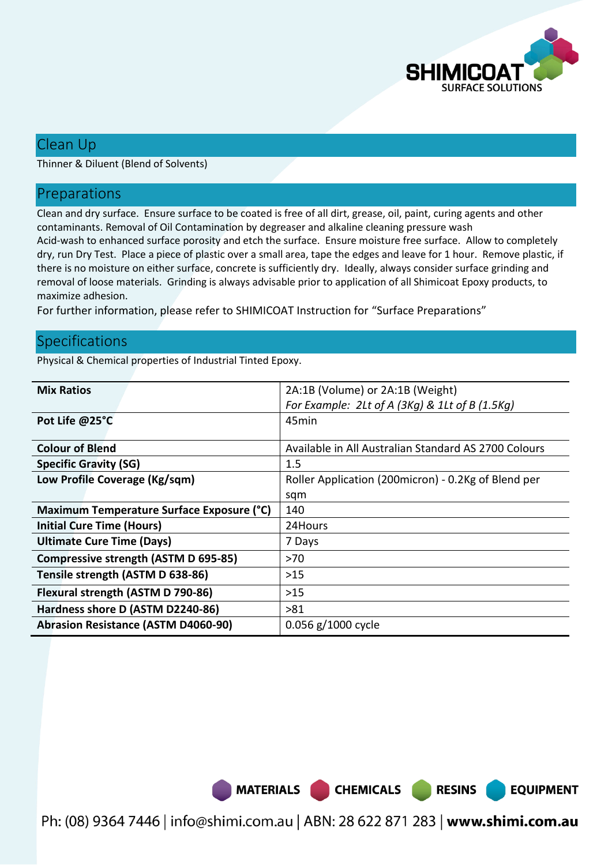

### Clean Up

Thinner & Diluent (Blend of Solvents)

#### Preparations

Clean and dry surface. Ensure surface to be coated is free of all dirt, grease, oil, paint, curing agents and other contaminants. Removal of Oil Contamination by degreaser and alkaline cleaning pressure wash Acid-wash to enhanced surface porosity and etch the surface. Ensure moisture free surface. Allow to completely dry, run Dry Test. Place a piece of plastic over a small area, tape the edges and leave for 1 hour. Remove plastic, if there is no moisture on either surface, concrete is sufficiently dry. Ideally, always consider surface grinding and removal of loose materials. Grinding is always advisable prior to application of all Shimicoat Epoxy products, to maximize adhesion.

For further information, please refer to SHIMICOAT Instruction for "Surface Preparations"

### **Specifications**

Physical & Chemical properties of Industrial Tinted Epoxy.

| <b>Mix Ratios</b>                          | 2A:1B (Volume) or 2A:1B (Weight)                     |
|--------------------------------------------|------------------------------------------------------|
|                                            | For Example: 2Lt of A (3Kg) & 1Lt of B (1.5Kg)       |
| Pot Life @25°C                             | 45min                                                |
|                                            |                                                      |
| <b>Colour of Blend</b>                     | Available in All Australian Standard AS 2700 Colours |
| <b>Specific Gravity (SG)</b>               | 1.5                                                  |
| Low Profile Coverage (Kg/sqm)              | Roller Application (200micron) - 0.2Kg of Blend per  |
|                                            | sqm                                                  |
| Maximum Temperature Surface Exposure (°C)  | 140                                                  |
| <b>Initial Cure Time (Hours)</b>           | 24Hours                                              |
| <b>Ultimate Cure Time (Days)</b>           | 7 Days                                               |
| Compressive strength (ASTM D 695-85)       | >70                                                  |
| Tensile strength (ASTM D 638-86)           | $>15$                                                |
| Flexural strength (ASTM D 790-86)          | $>15$                                                |
| Hardness shore D (ASTM D2240-86)           | >81                                                  |
| <b>Abrasion Resistance (ASTM D4060-90)</b> | 0.056 g/1000 cycle                                   |

MATERIALS CHEMICALS

Ph: (08) 9364 7446 | info@shimi.com.au | ABN: 28 622 871 283 | www.shimi.com.au

**RESINS** 

**EQUIPMENT**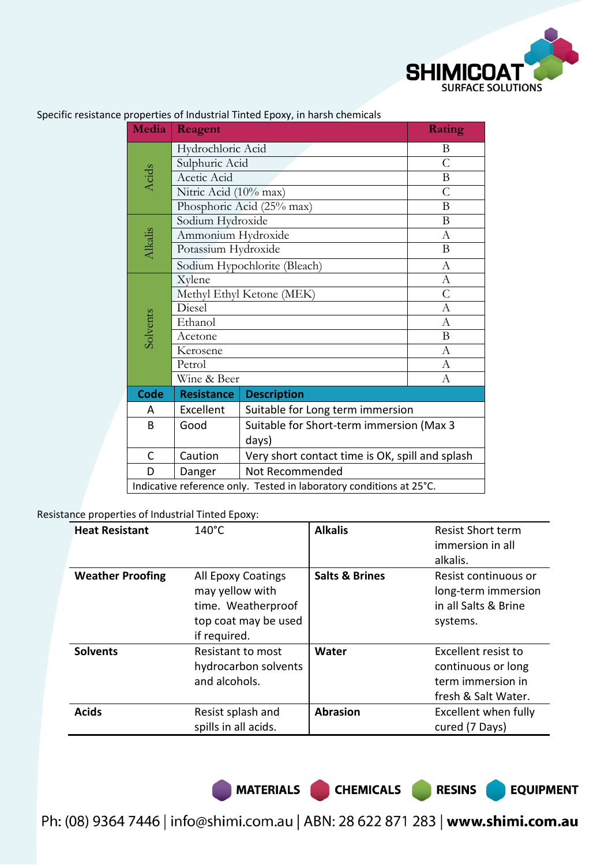

| Media                   | Reagent                                                             | Rating                                                                                                                                                                                                      |                |  |
|-------------------------|---------------------------------------------------------------------|-------------------------------------------------------------------------------------------------------------------------------------------------------------------------------------------------------------|----------------|--|
|                         | Hydrochloric Acid                                                   | B                                                                                                                                                                                                           |                |  |
|                         | Sulphuric Acid                                                      | $\overline{C}$                                                                                                                                                                                              |                |  |
| Acids                   | Acetic Acid                                                         | B                                                                                                                                                                                                           |                |  |
|                         | Nitric Acid (10% max)                                               |                                                                                                                                                                                                             | $\overline{C}$ |  |
|                         | Phosphoric Acid (25% max)                                           |                                                                                                                                                                                                             | B              |  |
|                         | Sodium Hydroxide                                                    |                                                                                                                                                                                                             | B              |  |
|                         | Ammonium Hydroxide                                                  |                                                                                                                                                                                                             | А              |  |
| Alkalis                 | Potassium Hydroxide                                                 |                                                                                                                                                                                                             | B              |  |
|                         | Sodium Hypochlorite (Bleach)                                        |                                                                                                                                                                                                             | $\mathbf{A}$   |  |
|                         | Xylene                                                              |                                                                                                                                                                                                             | A              |  |
|                         | Methyl Ethyl Ketone (MEK)                                           |                                                                                                                                                                                                             | $\overline{C}$ |  |
|                         | Diesel                                                              |                                                                                                                                                                                                             | А              |  |
| Solvents                | Ethanol                                                             |                                                                                                                                                                                                             | А              |  |
|                         | Acetone                                                             |                                                                                                                                                                                                             |                |  |
|                         | Kerosene                                                            |                                                                                                                                                                                                             | A              |  |
|                         | Petrol                                                              |                                                                                                                                                                                                             |                |  |
|                         | Wine & Beer                                                         | B<br>$\mathbf{A}$<br>А<br><b>Description</b><br>Suitable for Long term immersion<br>Suitable for Short-term immersion (Max 3<br>days)<br>Very short contact time is OK, spill and splash<br>Not Recommended |                |  |
| <b>Code</b>             | <b>Resistance</b>                                                   |                                                                                                                                                                                                             |                |  |
| A                       | Excellent                                                           |                                                                                                                                                                                                             |                |  |
| B                       | Good                                                                |                                                                                                                                                                                                             |                |  |
|                         |                                                                     |                                                                                                                                                                                                             |                |  |
| $\mathsf{C}$<br>Caution |                                                                     |                                                                                                                                                                                                             |                |  |
| D                       | Danger                                                              |                                                                                                                                                                                                             |                |  |
|                         | Indicative reference only. Tested in laboratory conditions at 25°C. |                                                                                                                                                                                                             |                |  |

Specific resistance properties of Industrial Tinted Epoxy, in harsh chemicals

Resistance properties of Industrial Tinted Epoxy:

| <b>Heat Resistant</b>   | $140^{\circ}$ C                                                                                     | <b>Alkalis</b>            | <b>Resist Short term</b><br>immersion in all<br>alkalis.                              |
|-------------------------|-----------------------------------------------------------------------------------------------------|---------------------------|---------------------------------------------------------------------------------------|
| <b>Weather Proofing</b> | All Epoxy Coatings<br>may yellow with<br>time. Weatherproof<br>top coat may be used<br>if required. | <b>Salts &amp; Brines</b> | Resist continuous or<br>long-term immersion<br>in all Salts & Brine<br>systems.       |
| <b>Solvents</b>         | Resistant to most<br>hydrocarbon solvents<br>and alcohols.                                          | Water                     | Excellent resist to<br>continuous or long<br>term immersion in<br>fresh & Salt Water. |
| <b>Acids</b>            | Resist splash and<br>spills in all acids.                                                           | <b>Abrasion</b>           | Excellent when fully<br>cured (7 Days)                                                |

MATERIALS CHEMICALS RESINS

**EQUIPMENT** 

Ph: (08) 9364 7446 | info@shimi.com.au | ABN: 28 622 871 283 | www.shimi.com.au